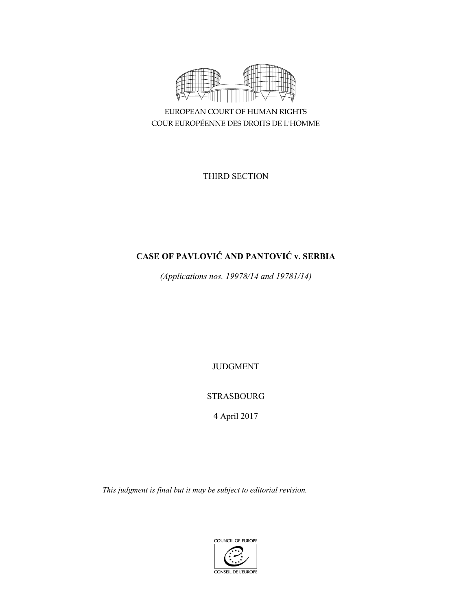

EUROPEAN COURT OF HUMAN RIGHTS COUR EUROPÉENNE DES DROITS DE L'HOMME

THIRD SECTION

# **CASE OF PAVLOVIĆ AND PANTOVIĆ v. SERBIA**

*(Applications nos. 19978/14 and 19781/14)* 

JUDGMENT

STRASBOURG

4 April 2017

*This judgment is final but it may be subject to editorial revision.* 

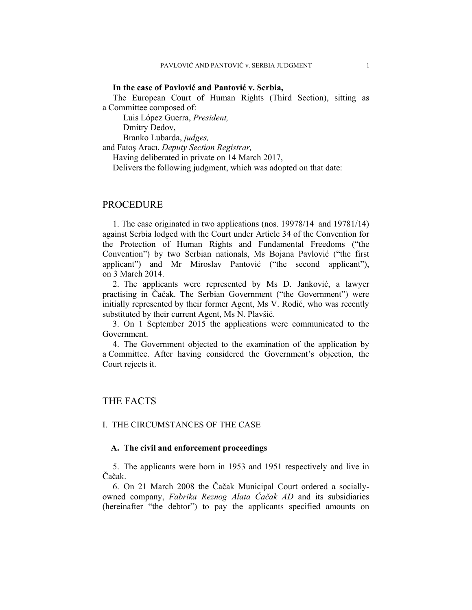## **In the case of Pavlović and Pantović v. Serbia,**

The European Court of Human Rights (Third Section), sitting as a Committee composed of:

 Luis López Guerra, *President,*  Dmitry Dedov,

Branko Lubarda, *judges,*

and Fatoş Aracı, *Deputy Section Registrar,*

Having deliberated in private on 14 March 2017,

Delivers the following judgment, which was adopted on that date:

# PROCEDURE

1. The case originated in two applications (nos. 19978/14 and 19781/14) against Serbia lodged with the Court under Article 34 of the Convention for the Protection of Human Rights and Fundamental Freedoms ("the Convention") by two Serbian nationals, Ms Bojana Pavlović ("the first applicant") and Mr Miroslav Pantović ("the second applicant"), on 3 March 2014.

2. The applicants were represented by Ms D. Janković, a lawyer practising in Čačak. The Serbian Government ("the Government") were initially represented by their former Agent, Ms V. Rodić, who was recently substituted by their current Agent, Ms N. Plavšić.

3. On 1 September 2015 the applications were communicated to the Government.

4. The Government objected to the examination of the application by a Committee. After having considered the Government's objection, the Court rejects it.

## THE FACTS

# I. THE CIRCUMSTANCES OF THE CASE

## **A. The civil and enforcement proceedings**

5. The applicants were born in 1953 and 1951 respectively and live in Čačak.

6. On 21 March 2008 the Čačak Municipal Court ordered a sociallyowned company, *Fabrika Reznog Alata Čačak AD* and its subsidiaries (hereinafter "the debtor") to pay the applicants specified amounts on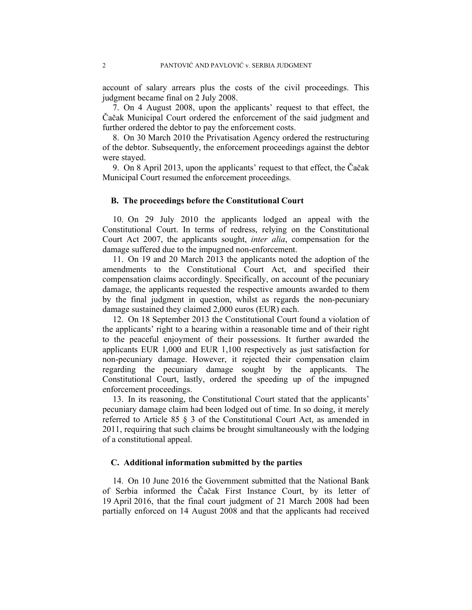account of salary arrears plus the costs of the civil proceedings. This judgment became final on 2 July 2008.

7. On 4 August 2008, upon the applicants' request to that effect, the Čačak Municipal Court ordered the enforcement of the said judgment and further ordered the debtor to pay the enforcement costs.

8. On 30 March 2010 the Privatisation Agency ordered the restructuring of the debtor. Subsequently, the enforcement proceedings against the debtor were stayed.

9. On 8 April 2013, upon the applicants' request to that effect, the Čačak Municipal Court resumed the enforcement proceedings.

## **B. The proceedings before the Constitutional Court**

10. On 29 July 2010 the applicants lodged an appeal with the Constitutional Court. In terms of redress, relying on the Constitutional Court Act 2007, the applicants sought, *inter alia*, compensation for the damage suffered due to the impugned non-enforcement.

11. On 19 and 20 March 2013 the applicants noted the adoption of the amendments to the Constitutional Court Act, and specified their compensation claims accordingly. Specifically, on account of the pecuniary damage, the applicants requested the respective amounts awarded to them by the final judgment in question, whilst as regards the non-pecuniary damage sustained they claimed 2,000 euros (EUR) each.

12. On 18 September 2013 the Constitutional Court found a violation of the applicants' right to a hearing within a reasonable time and of their right to the peaceful enjoyment of their possessions. It further awarded the applicants EUR 1,000 and EUR 1,100 respectively as just satisfaction for non-pecuniary damage. However, it rejected their compensation claim regarding the pecuniary damage sought by the applicants. The Constitutional Court, lastly, ordered the speeding up of the impugned enforcement proceedings.

13. In its reasoning, the Constitutional Court stated that the applicants' pecuniary damage claim had been lodged out of time. In so doing, it merely referred to Article 85 § 3 of the Constitutional Court Act, as amended in 2011, requiring that such claims be brought simultaneously with the lodging of a constitutional appeal.

## **C. Additional information submitted by the parties**

14. On 10 June 2016 the Government submitted that the National Bank of Serbia informed the Čačak First Instance Court, by its letter of 19 April 2016, that the final court judgment of 21 March 2008 had been partially enforced on 14 August 2008 and that the applicants had received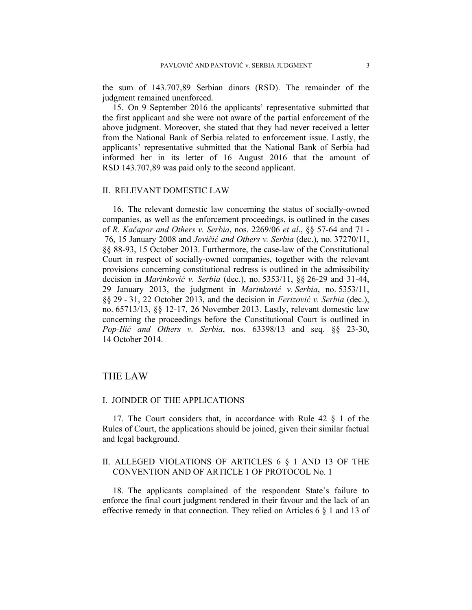the sum of 143.707,89 Serbian dinars (RSD). The remainder of the judgment remained unenforced.

15. On 9 September 2016 the applicants' representative submitted that the first applicant and she were not aware of the partial enforcement of the above judgment. Moreover, she stated that they had never received a letter from the National Bank of Serbia related to enforcement issue. Lastly, the applicants' representative submitted that the National Bank of Serbia had informed her in its letter of 16 August 2016 that the amount of RSD 143.707,89 was paid only to the second applicant.

# II. RELEVANT DOMESTIC LAW

16. The relevant domestic law concerning the status of socially-owned companies, as well as the enforcement proceedings, is outlined in the cases of *R. Kačapor and Others v. Serbia*, nos. 2269/06 *et al*., §§ 57-64 and 71 - 76, 15 January 2008 and *Jovičić and Others v. Serbia* (dec.), no. 37270/11, §§ 88-93, 15 October 2013. Furthermore, the case-law of the Constitutional Court in respect of socially-owned companies, together with the relevant provisions concerning constitutional redress is outlined in the admissibility decision in *Marinković v. Serbia* (dec.), no. 5353/11, §§ 26-29 and 31-44, 29 January 2013, the judgment in *Marinković v. Serbia*, no. 5353/11, §§ 29 - 31, 22 October 2013, and the decision in *Ferizović v. Serbia* (dec.), no. 65713/13, §§ 12-17, 26 November 2013. Lastly, relevant domestic law concerning the proceedings before the Constitutional Court is outlined in *Pop-Ilić and Others v. Serbia*, nos. 63398/13 and seq. §§ 23-30, 14 October 2014.

# THE LAW

### I. JOINDER OF THE APPLICATIONS

17. The Court considers that, in accordance with Rule 42 § 1 of the Rules of Court, the applications should be joined, given their similar factual and legal background.

# II. ALLEGED VIOLATIONS OF ARTICLES 6 § 1 AND 13 OF THE CONVENTION AND OF ARTICLE 1 OF PROTOCOL No. 1

18. The applicants complained of the respondent State's failure to enforce the final court judgment rendered in their favour and the lack of an effective remedy in that connection. They relied on Articles 6 § 1 and 13 of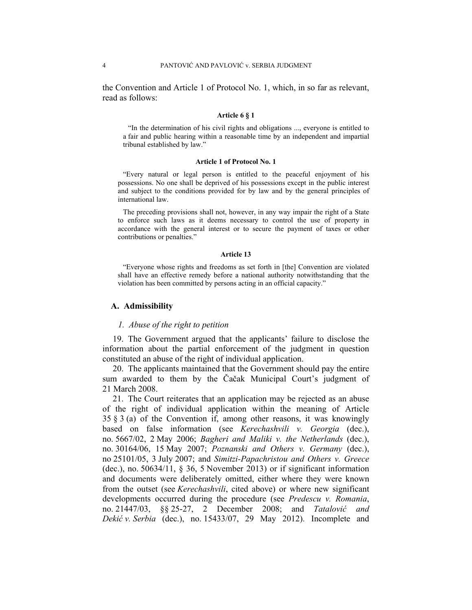the Convention and Article 1 of Protocol No. 1, which, in so far as relevant, read as follows:

#### **Article 6 § 1**

"In the determination of his civil rights and obligations ..., everyone is entitled to a fair and public hearing within a reasonable time by an independent and impartial tribunal established by law."

#### **Article 1 of Protocol No. 1**

"Every natural or legal person is entitled to the peaceful enjoyment of his possessions. No one shall be deprived of his possessions except in the public interest and subject to the conditions provided for by law and by the general principles of international law.

The preceding provisions shall not, however, in any way impair the right of a State to enforce such laws as it deems necessary to control the use of property in accordance with the general interest or to secure the payment of taxes or other contributions or penalties."

#### **Article 13**

"Everyone whose rights and freedoms as set forth in [the] Convention are violated shall have an effective remedy before a national authority notwithstanding that the violation has been committed by persons acting in an official capacity."

## **A. Admissibility**

#### *1. Abuse of the right to petition*

19. The Government argued that the applicants' failure to disclose the information about the partial enforcement of the judgment in question constituted an abuse of the right of individual application.

20. The applicants maintained that the Government should pay the entire sum awarded to them by the Čačak Municipal Court's judgment of 21 March 2008.

21. The Court reiterates that an application may be rejected as an abuse of the right of individual application within the meaning of Article  $35 \S 3$  (a) of the Convention if, among other reasons, it was knowingly based on false information (see *Kerechashvili v. Georgia* (dec.), no. 5667/02, 2 May 2006; *Bagheri and Maliki v. the Netherlands* (dec.), no. 30164/06, 15 May 2007; *Poznanski and Others v. Germany* (dec.), no 25101/05, 3 July 2007; and *Simitzi-Papachristou and Others v. Greece* (dec.), no.  $50634/11$ , § 36, 5 November 2013) or if significant information and documents were deliberately omitted, either where they were known from the outset (see *Kerechashvili*, cited above) or where new significant developments occurred during the procedure (see *Predescu v. Romania*, no. 21447/03, §§ 25-27, 2 December 2008; and *Tatalović and Dekić v. Serbia* (dec.), no. 15433/07, 29 May 2012). Incomplete and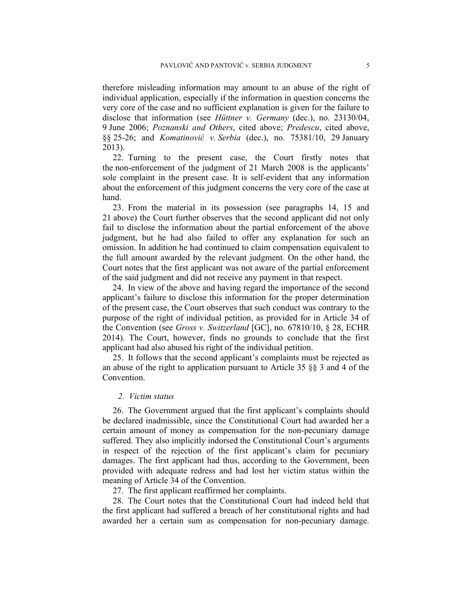therefore misleading information may amount to an abuse of the right of individual application, especially if the information in question concerns the very core of the case and no sufficient explanation is given for the failure to disclose that information (see *Hüttner v. Germany* (dec.), no. 23130/04, 9 June 2006; *Poznanski and Others*, cited above; *Predescu*, cited above, §§ 25-26; and *Komatinović v. Serbia* (dec.), no. 75381/10, 29 January 2013).

22. Turning to the present case, the Court firstly notes that the non-enforcement of the judgment of 21 March 2008 is the applicants' sole complaint in the present case. It is self-evident that any information about the enforcement of this judgment concerns the very core of the case at hand.

23. From the material in its possession (see paragraphs 14, 15 and 21 above) the Court further observes that the second applicant did not only fail to disclose the information about the partial enforcement of the above judgment, but he had also failed to offer any explanation for such an omission. In addition he had continued to claim compensation equivalent to the full amount awarded by the relevant judgment. On the other hand, the Court notes that the first applicant was not aware of the partial enforcement of the said judgment and did not receive any payment in that respect.

24. In view of the above and having regard the importance of the second applicant's failure to disclose this information for the proper determination of the present case, the Court observes that such conduct was contrary to the purpose of the right of individual petition, as provided for in Article 34 of the Convention (see *Gross v. Switzerland* [GC], no. 67810/10, § 28, ECHR 2014). The Court, however, finds no grounds to conclude that the first applicant had also abused his right of the individual petition.

25. It follows that the second applicant's complaints must be rejected as an abuse of the right to application pursuant to Article 35 §§ 3 and 4 of the Convention.

#### *2. Victim status*

26. The Government argued that the first applicant's complaints should be declared inadmissible, since the Constitutional Court had awarded her a certain amount of money as compensation for the non-pecuniary damage suffered. They also implicitly indorsed the Constitutional Court's arguments in respect of the rejection of the first applicant's claim for pecuniary damages. The first applicant had thus, according to the Government, been provided with adequate redress and had lost her victim status within the meaning of Article 34 of the Convention.

27. The first applicant reaffirmed her complaints.

28. The Court notes that the Constitutional Court had indeed held that the first applicant had suffered a breach of her constitutional rights and had awarded her a certain sum as compensation for non-pecuniary damage.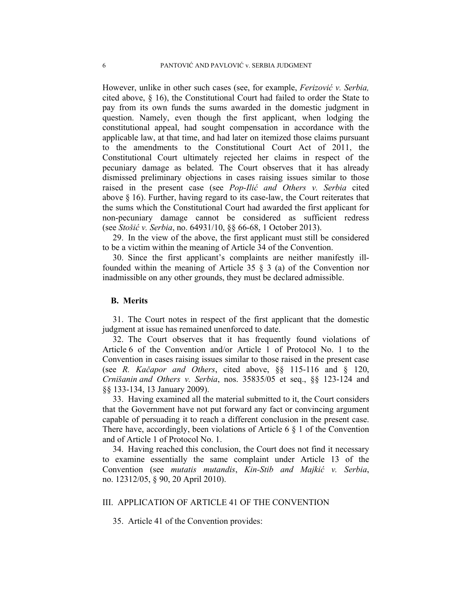However, unlike in other such cases (see, for example, *Ferizović v. Serbia,*  cited above, § 16), the Constitutional Court had failed to order the State to pay from its own funds the sums awarded in the domestic judgment in question. Namely, even though the first applicant, when lodging the constitutional appeal, had sought compensation in accordance with the applicable law, at that time, and had later on itemized those claims pursuant to the amendments to the Constitutional Court Act of 2011, the Constitutional Court ultimately rejected her claims in respect of the pecuniary damage as belated. The Court observes that it has already dismissed preliminary objections in cases raising issues similar to those raised in the present case (see *Pop-Ilić and Others v. Serbia* cited above § 16). Further, having regard to its case-law, the Court reiterates that the sums which the Constitutional Court had awarded the first applicant for non-pecuniary damage cannot be considered as sufficient redress (see *Stošić v. Serbia*, no. 64931/10, §§ 66-68, 1 October 2013).

29. In the view of the above, the first applicant must still be considered to be a victim within the meaning of Article 34 of the Convention.

30. Since the first applicant's complaints are neither manifestly illfounded within the meaning of Article 35 § 3 (a) of the Convention nor inadmissible on any other grounds, they must be declared admissible.

# **B. Merits**

31. The Court notes in respect of the first applicant that the domestic judgment at issue has remained unenforced to date.

32. The Court observes that it has frequently found violations of Article 6 of the Convention and/or Article 1 of Protocol No. 1 to the Convention in cases raising issues similar to those raised in the present case (see *R. Kačapor and Others*, cited above, §§ 115-116 and § 120, *Crnišanin and Others v. Serbia*, nos. 35835/05 et seq., §§ 123-124 and §§ 133-134, 13 January 2009).

33. Having examined all the material submitted to it, the Court considers that the Government have not put forward any fact or convincing argument capable of persuading it to reach a different conclusion in the present case. There have, accordingly, been violations of Article 6  $\S$  1 of the Convention and of Article 1 of Protocol No. 1.

34. Having reached this conclusion, the Court does not find it necessary to examine essentially the same complaint under Article 13 of the Convention (see *mutatis mutandis*, *Kin-Stib and Majkić v. Serbia*, no. 12312/05, § 90, 20 April 2010).

## III. APPLICATION OF ARTICLE 41 OF THE CONVENTION

35. Article 41 of the Convention provides: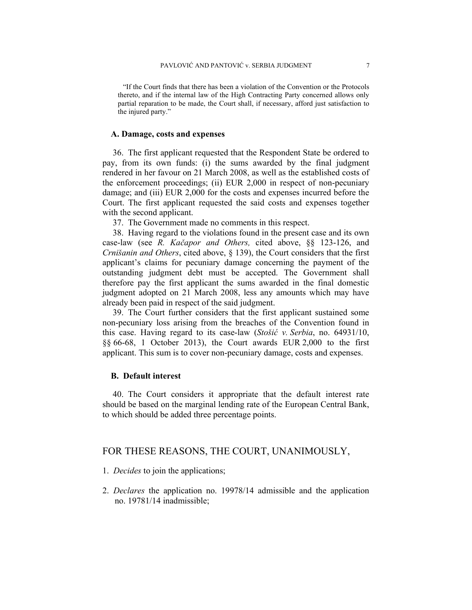"If the Court finds that there has been a violation of the Convention or the Protocols thereto, and if the internal law of the High Contracting Party concerned allows only partial reparation to be made, the Court shall, if necessary, afford just satisfaction to the injured party."

#### **A. Damage, costs and expenses**

36. The first applicant requested that the Respondent State be ordered to pay, from its own funds: (i) the sums awarded by the final judgment rendered in her favour on 21 March 2008, as well as the established costs of the enforcement proceedings; (ii) EUR 2,000 in respect of non-pecuniary damage; and (iii) EUR 2,000 for the costs and expenses incurred before the Court. The first applicant requested the said costs and expenses together with the second applicant.

37. The Government made no comments in this respect.

38. Having regard to the violations found in the present case and its own case-law (see *R. Kačapor and Others,* cited above, §§ 123-126, and *Crnišanin and Others*, cited above, § 139), the Court considers that the first applicant's claims for pecuniary damage concerning the payment of the outstanding judgment debt must be accepted. The Government shall therefore pay the first applicant the sums awarded in the final domestic judgment adopted on 21 March 2008, less any amounts which may have already been paid in respect of the said judgment.

39. The Court further considers that the first applicant sustained some non-pecuniary loss arising from the breaches of the Convention found in this case. Having regard to its case-law (*Stošić v. Serbia*, no. 64931/10, §§ 66-68, 1 October 2013), the Court awards EUR 2,000 to the first applicant. This sum is to cover non-pecuniary damage, costs and expenses.

# **B. Default interest**

40. The Court considers it appropriate that the default interest rate should be based on the marginal lending rate of the European Central Bank, to which should be added three percentage points.

# FOR THESE REASONS, THE COURT, UNANIMOUSLY,

- 1. *Decides* to join the applications;
- 2. *Declares* the application no. 19978/14 admissible and the application no. 19781/14 inadmissible;